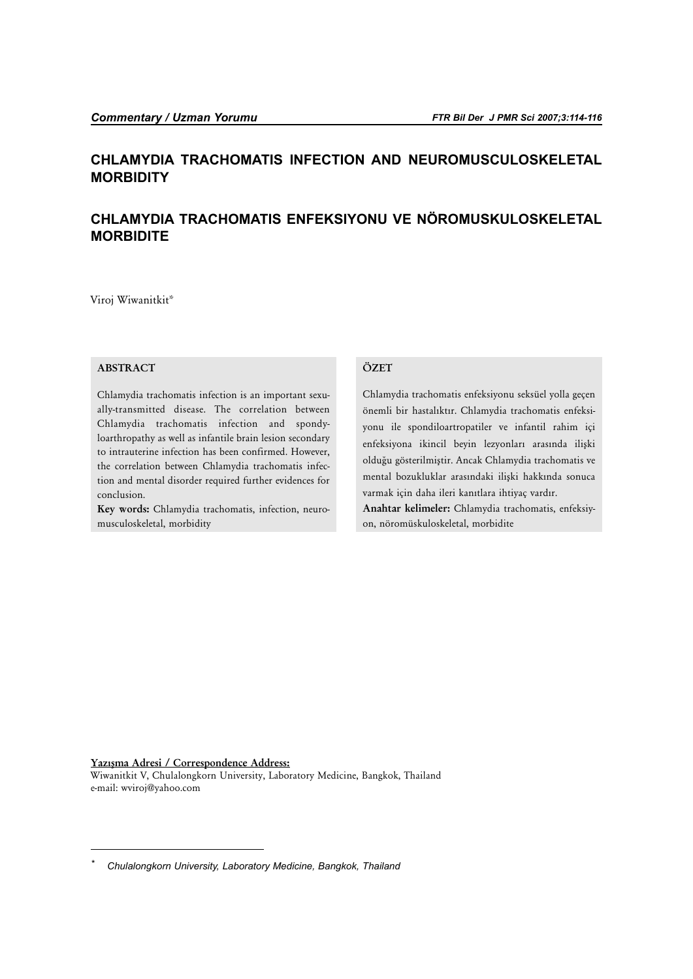## **CHLAMYDIA TRACHOMATIS INFECTION AND NEUROMUSCULOSKELETAL MORBIDITY**

# **CHLAMYDIA TRACHOMATIS ENFEKSIYONU VE NÖROMUSKULOSKELETAL MORBIDITE**

Viroj Wiwanitkit\*

## **ABSTRACT**

Chlamydia trachomatis infection is an important sexually-transmitted disease. The correlation between Chlamydia trachomatis infection and spondyloarthropathy as well as infantile brain lesion secondary to intrauterine infection has been confirmed. However, the correlation between Chlamydia trachomatis infection and mental disorder required further evidences for conclusion.

**Key words:** Chlamydia trachomatis, infection, neuromusculoskeletal, morbidity

#### **ÖZET**

Chlamydia trachomatis enfeksiyonu seksüel yolla geçen önemli bir hastalıktır. Chlamydia trachomatis enfeksiyonu ile spondiloartropatiler ve infantil rahim içi enfeksiyona ikincil beyin lezyonları arasında ilişki olduğu gösterilmiştir. Ancak Chlamydia trachomatis ve mental bozukluklar arasındaki ilişki hakkında sonuca varmak için daha ileri kanıtlara ihtiyaç vardır. **Anahtar kelimeler:** Chlamydia trachomatis, enfeksiyon, nöromüskuloskeletal, morbidite

Yazışma Adresi / Correspondence Address:

Wiwanitkit V, Chulalongkorn University, Laboratory Medicine, Bangkok, Thailand e-mail: wviroj@yahoo.com

*<sup>\*</sup> Chulalongkorn University, Laboratory Medicine, Bangkok, Thailand*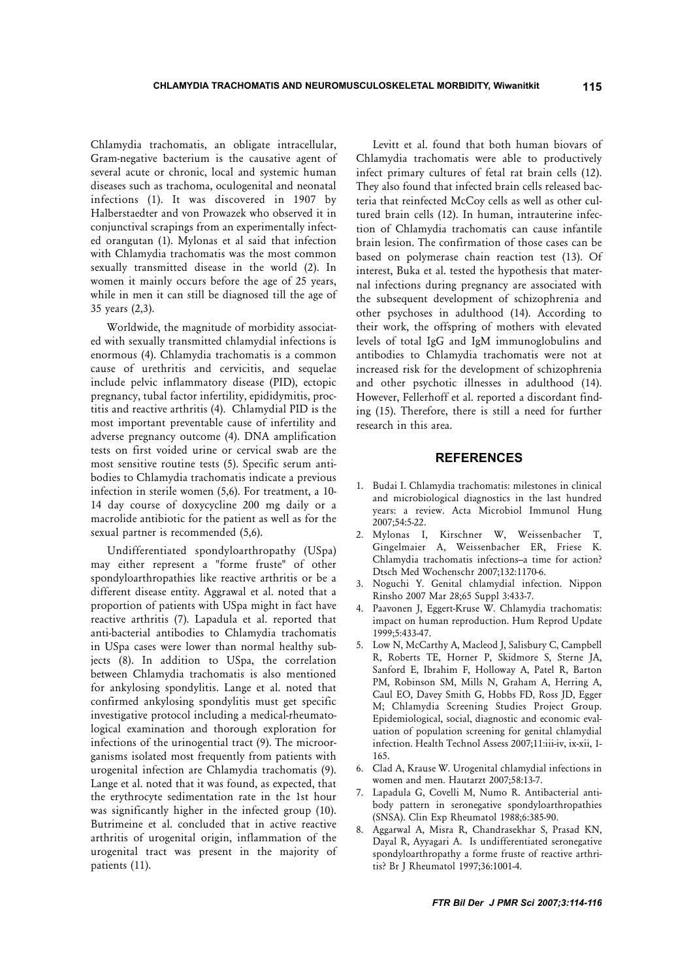Chlamydia trachomatis, an obligate intracellular, Gram-negative bacterium is the causative agent of several acute or chronic, local and systemic human diseases such as trachoma, oculogenital and neonatal infections (1). It was discovered in 1907 by Halberstaedter and von Prowazek who observed it in conjunctival scrapings from an experimentally infected orangutan (1). Mylonas et al said that infection with Chlamydia trachomatis was the most common sexually transmitted disease in the world (2). In women it mainly occurs before the age of 25 years, while in men it can still be diagnosed till the age of 35 years (2,3).

Worldwide, the magnitude of morbidity associated with sexually transmitted chlamydial infections is enormous (4). Chlamydia trachomatis is a common cause of urethritis and cervicitis, and sequelae include pelvic inflammatory disease (PID), ectopic pregnancy, tubal factor infertility, epididymitis, proctitis and reactive arthritis (4). Chlamydial PID is the most important preventable cause of infertility and adverse pregnancy outcome (4). DNA amplification tests on first voided urine or cervical swab are the most sensitive routine tests (5). Specific serum antibodies to Chlamydia trachomatis indicate a previous infection in sterile women (5,6). For treatment, a 10- 14 day course of doxycycline 200 mg daily or a macrolide antibiotic for the patient as well as for the sexual partner is recommended (5,6).

Undifferentiated spondyloarthropathy (USpa) may either represent a "forme fruste" of other spondyloarthropathies like reactive arthritis or be a different disease entity. Aggrawal et al. noted that a proportion of patients with USpa might in fact have reactive arthritis (7). Lapadula et al. reported that anti-bacterial antibodies to Chlamydia trachomatis in USpa cases were lower than normal healthy subjects (8). In addition to USpa, the correlation between Chlamydia trachomatis is also mentioned for ankylosing spondylitis. Lange et al. noted that confirmed ankylosing spondylitis must get specific investigative protocol including a medical-rheumatological examination and thorough exploration for infections of the urinogential tract (9). The microorganisms isolated most frequently from patients with urogenital infection are Chlamydia trachomatis (9). Lange et al. noted that it was found, as expected, that the erythrocyte sedimentation rate in the 1st hour was significantly higher in the infected group (10). Butrimeine et al. concluded that in active reactive arthritis of urogenital origin, inflammation of the urogenital tract was present in the majority of patients (11).

Levitt et al. found that both human biovars of Chlamydia trachomatis were able to productively infect primary cultures of fetal rat brain cells (12). They also found that infected brain cells released bacteria that reinfected McCoy cells as well as other cultured brain cells (12). In human, intrauterine infection of Chlamydia trachomatis can cause infantile brain lesion. The confirmation of those cases can be based on polymerase chain reaction test (13). Of interest, Buka et al. tested the hypothesis that maternal infections during pregnancy are associated with the subsequent development of schizophrenia and other psychoses in adulthood (14). According to their work, the offspring of mothers with elevated levels of total IgG and IgM immunoglobulins and antibodies to Chlamydia trachomatis were not at increased risk for the development of schizophrenia and other psychotic illnesses in adulthood (14). However, Fellerhoff et al. reported a discordant finding (15). Therefore, there is still a need for further research in this area.

### **REFERENCES**

- 1. Budai I. Chlamydia trachomatis: milestones in clinical and microbiological diagnostics in the last hundred years: a review. Acta Microbiol Immunol Hung 2007;54:5-22.
- 2. Mylonas I, Kirschner W, Weissenbacher T, Gingelmaier A, Weissenbacher ER, Friese K. Chlamydia trachomatis infections-a time for action? Dtsch Med Wochenschr 2007;132:1170-6.
- 3. Noguchi Y. Genital chlamydial infection. Nippon Rinsho 2007 Mar 28;65 Suppl 3:433-7.
- 4. Paavonen J, Eggert-Kruse W. Chlamydia trachomatis: impact on human reproduction. Hum Reprod Update 1999;5:433-47.
- 5. Low N, McCarthy A, Macleod J, Salisbury C, Campbell R, Roberts TE, Horner P, Skidmore S, Sterne JA, Sanford E, Ibrahim F, Holloway A, Patel R, Barton PM, Robinson SM, Mills N, Graham A, Herring A, Caul EO, Davey Smith G, Hobbs FD, Ross JD, Egger M; Chlamydia Screening Studies Project Group. Epidemiological, social, diagnostic and economic evaluation of population screening for genital chlamydial infection. Health Technol Assess 2007;11:iii-iv, ix-xii, 1- 165.
- 6. Clad A, Krause W. Urogenital chlamydial infections in women and men. Hautarzt 2007;58:13-7.
- 7. Lapadula G, Covelli M, Numo R. Antibacterial antibody pattern in seronegative spondyloarthropathies (SNSA). Clin Exp Rheumatol 1988;6:385-90.
- 8. Aggarwal A, Misra R, Chandrasekhar S, Prasad KN, Dayal R, Ayyagari A. Is undifferentiated seronegative spondyloarthropathy a forme fruste of reactive arthritis? Br J Rheumatol 1997;36:1001-4.